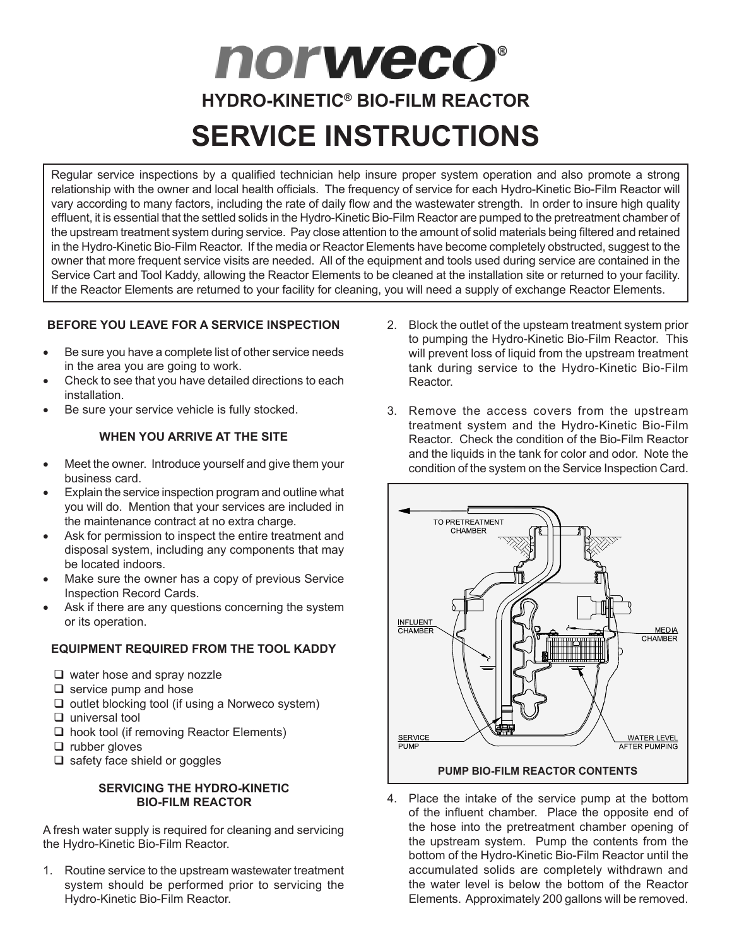# **norwecO**® **HYDRO-KINETIC® BIO-FILM REACTOR SERVICE INSTRUCTIONS**

Regular service inspections by a qualified technician help insure proper system operation and also promote a strong relationship with the owner and local health officials. The frequency of service for each Hydro-Kinetic Bio-Film Reactor will vary according to many factors, including the rate of daily flow and the wastewater strength. In order to insure high quality effluent, it is essential that the settled solids in the Hydro-Kinetic Bio-Film Reactor are pumped to the pretreatment chamber of the upstream treatment system during service. Pay close attention to the amount of solid materials being filtered and retained in the Hydro-Kinetic Bio-Film Reactor. If the media or Reactor Elements have become completely obstructed, suggest to the owner that more frequent service visits are needed. All of the equipment and tools used during service are contained in the Service Cart and Tool Kaddy, allowing the Reactor Elements to be cleaned at the installation site or returned to your facility. If the Reactor Elements are returned to your facility for cleaning, you will need a supply of exchange Reactor Elements.

# **BEFORE YOU LEAVE FOR A SERVICE INSPECTION**

- Be sure you have a complete list of other service needs in the area you are going to work.
- Check to see that you have detailed directions to each installation.
- Be sure your service vehicle is fully stocked.

# **WHEN YOU ARRIVE AT THE SITE**

- Meet the owner. Introduce yourself and give them your business card.
- Explain the service inspection program and outline what you will do. Mention that your services are included in the maintenance contract at no extra charge.
- Ask for permission to inspect the entire treatment and disposal system, including any components that may be located indoors.
- Make sure the owner has a copy of previous Service Inspection Record Cards.
- Ask if there are any questions concerning the system or its operation.

# **EQUIPMENT REQUIRED FROM THE TOOL KADDY**

- $\Box$  water hose and spray nozzle
- $\Box$  service pump and hose
- $\Box$  outlet blocking tool (if using a Norweco system)
- $\Box$  universal tool
- $\Box$  hook tool (if removing Reactor Elements)
- $\Box$  rubber gloves
- $\Box$  safety face shield or goggles

## **SERVICING THE HYDRO-KINETIC BIO-FILM REACTOR**

A fresh water supply is required for cleaning and servicing the Hydro-Kinetic Bio-Film Reactor.

1. Routine service to the upstream wastewater treatment system should be performed prior to servicing the Hydro-Kinetic Bio-Film Reactor.

- 2. Block the outlet of the upsteam treatment system prior to pumping the Hydro-Kinetic Bio-Film Reactor. This will prevent loss of liquid from the upstream treatment tank during service to the Hydro-Kinetic Bio-Film Reactor.
- 3. Remove the access covers from the upstream treatment system and the Hydro-Kinetic Bio-Film Reactor. Check the condition of the Bio-Film Reactor and the liquids in the tank for color and odor. Note the condition of the system on the Service Inspection Card.



4. Place the intake of the service pump at the bottom of the influent chamber. Place the opposite end of the hose into the pretreatment chamber opening of the upstream system. Pump the contents from the bottom of the Hydro-Kinetic Bio-Film Reactor until the accumulated solids are completely withdrawn and the water level is below the bottom of the Reactor Elements. Approximately 200 gallons will be removed.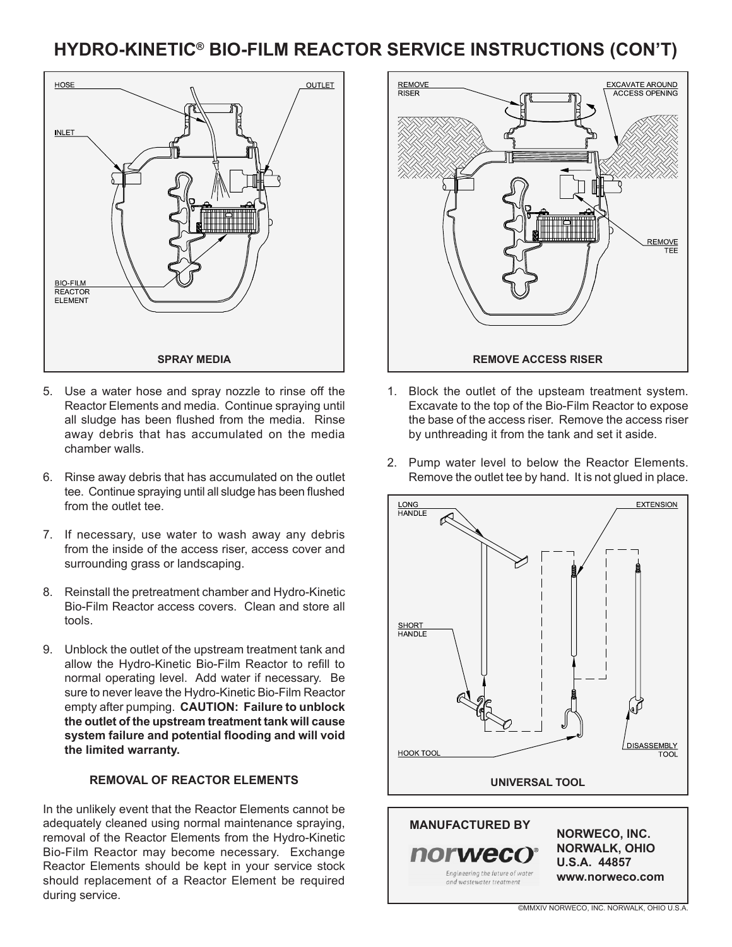# **HYDRO-KINETIC® BIO-FILM REACTOR SERVICE INSTRUCTIONS (CON'T)**



- 5. Use a water hose and spray nozzle to rinse off the Reactor Elements and media. Continue spraying until all sludge has been flushed from the media. Rinse away debris that has accumulated on the media chamber walls.
- 6. Rinse away debris that has accumulated on the outlet tee. Continue spraying until all sludge has been flushed from the outlet tee.
- 7. If necessary, use water to wash away any debris from the inside of the access riser, access cover and surrounding grass or landscaping.
- 8. Reinstall the pretreatment chamber and Hydro-Kinetic Bio-Film Reactor access covers. Clean and store all tools.
- 9. Unblock the outlet of the upstream treatment tank and allow the Hydro-Kinetic Bio-Film Reactor to refill to normal operating level. Add water if necessary. Be sure to never leave the Hydro-Kinetic Bio-Film Reactor empty after pumping. **CAUTION: Failure to unblock the outlet of the upstream treatment tank will cause system failure and potential flooding and will void the limited warranty.**

#### **REMOVAL OF REACTOR ELEMENTS**

In the unlikely event that the Reactor Elements cannot be adequately cleaned using normal maintenance spraying, removal of the Reactor Elements from the Hydro-Kinetic Bio-Film Reactor may become necessary. Exchange Reactor Elements should be kept in your service stock should replacement of a Reactor Element be required during service.



- 1. Block the outlet of the upsteam treatment system. Excavate to the top of the Bio-Film Reactor to expose the base of the access riser. Remove the access riser by unthreading it from the tank and set it aside.
- 2. Pump water level to below the Reactor Elements. Remove the outlet tee by hand. It is not glued in place.

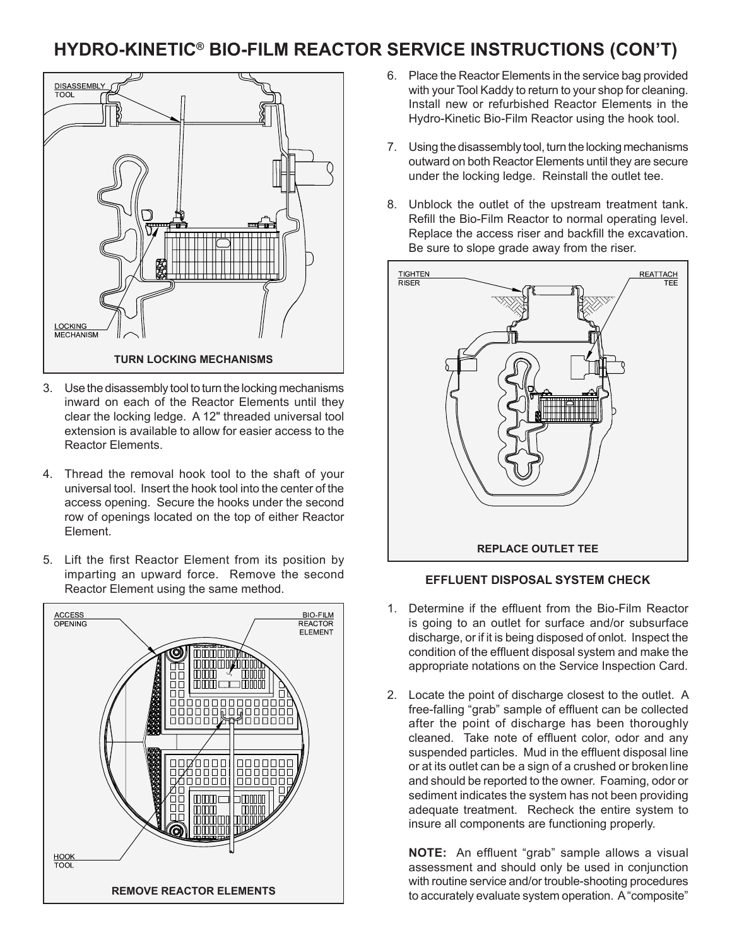# **HYDRO-KINETIC® BIO-FILM REACTOR SERVICE INSTRUCTIONS (CON'T)**



- 3. Use the disassembly tool to turn the locking mechanisms inward on each of the Reactor Elements until they clear the locking ledge. A 12" threaded universal tool extension is available to allow for easier access to the Reactor Elements.
- 4. Thread the removal hook tool to the shaft of your universal tool. Insert the hook tool into the center of the access opening. Secure the hooks under the second row of openings located on the top of either Reactor Element.
- 5. Lift the first Reactor Element from its position by imparting an upward force. Remove the second Reactor Element using the same method.



- 6. Place the Reactor Elements in the service bag provided with your Tool Kaddy to return to your shop for cleaning. Install new or refurbished Reactor Elements in the Hydro-Kinetic Bio-Film Reactor using the hook tool.
- 7. Using the disassembly tool, turn the locking mechanisms outward on both Reactor Elements until they are secure under the locking ledge. Reinstall the outlet tee.
- 8. Unblock the outlet of the upstream treatment tank. Refill the Bio-Film Reactor to normal operating level. Replace the access riser and backfill the excavation. Be sure to slope grade away from the riser.



## **EFFLUENT DISPOSAL SYSTEM CHECK**

- 1. Determine if the effluent from the Bio-Film Reactor is going to an outlet for surface and/or subsurface discharge, or if it is being disposed of onlot. Inspect the condition of the effluent disposal system and make the appropriate notations on the Service Inspection Card.
- 2. Locate the point of discharge closest to the outlet. A free-falling "grab" sample of effluent can be collected after the point of discharge has been thoroughly cleaned. Take note of effluent color, odor and any suspended particles. Mud in the effluent disposal line or at its outlet can be a sign of a crushed or brokenline and should be reported to the owner. Foaming, odor or sediment indicates the system has not been providing adequate treatment. Recheck the entire system to insure all components are functioning properly.

**NOTE:** An effluent "grab" sample allows a visual assessment and should only be used in conjunction with routine service and/or trouble-shooting procedures REMOVE REACTOR ELEMENTS **REMOVE REACTOR ELEMENTS REMOVE REACTOR** ELEMENTS